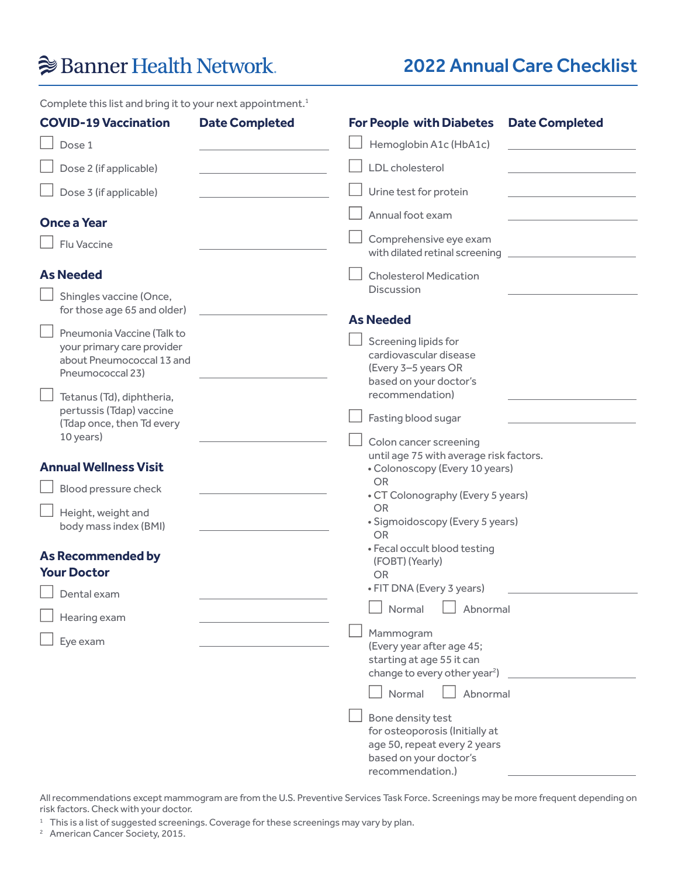# **Banner Health Network**

## 2022 Annual Care Checklist

Complete this list and bring it to your next appointment.<sup>1</sup>

| <b>COVID-19 Vaccination</b>                                                                               | <b>Date Completed</b> | <b>For People with Diabetes</b><br><b>Date Completed</b>                                                                                                                                                                 |
|-----------------------------------------------------------------------------------------------------------|-----------------------|--------------------------------------------------------------------------------------------------------------------------------------------------------------------------------------------------------------------------|
| Dose 1                                                                                                    |                       | Hemoglobin A1c (HbA1c)                                                                                                                                                                                                   |
| Dose 2 (if applicable)                                                                                    |                       | LDL cholesterol                                                                                                                                                                                                          |
| Dose 3 (if applicable)                                                                                    |                       | Urine test for protein                                                                                                                                                                                                   |
| <b>Once a Year</b>                                                                                        |                       | Annual foot exam                                                                                                                                                                                                         |
| Flu Vaccine                                                                                               |                       | Comprehensive eye exam<br>with dilated retinal screening                                                                                                                                                                 |
| <b>As Needed</b>                                                                                          |                       | <b>Cholesterol Medication</b><br><b>Discussion</b>                                                                                                                                                                       |
| Shingles vaccine (Once,<br>for those age 65 and older)                                                    |                       |                                                                                                                                                                                                                          |
| Pneumonia Vaccine (Talk to<br>your primary care provider<br>about Pneumococcal 13 and<br>Pneumococcal 23) |                       | <b>As Needed</b><br>Screening lipids for<br>cardiovascular disease<br>(Every 3-5 years OR                                                                                                                                |
| Tetanus (Td), diphtheria,<br>pertussis (Tdap) vaccine<br>(Tdap once, then Td every<br>10 years)           |                       | based on your doctor's<br>recommendation)<br>Fasting blood sugar<br>Colon cancer screening                                                                                                                               |
| <b>Annual Wellness Visit</b><br>Blood pressure check<br>Height, weight and<br>body mass index (BMI)       |                       | until age 75 with average risk factors.<br>• Colonoscopy (Every 10 years)<br><b>OR</b><br>• CT Colonography (Every 5 years)<br><b>OR</b><br>• Sigmoidoscopy (Every 5 years)<br><b>OR</b><br>• Fecal occult blood testing |
| <b>As Recommended by</b><br><b>Your Doctor</b>                                                            |                       | (FOBT) (Yearly)<br><b>OR</b>                                                                                                                                                                                             |
| Dental exam<br>Hearing exam<br>Eye exam                                                                   |                       | • FIT DNA (Every 3 years)<br>$\Box$<br>Normal<br>Abnormal<br>Mammogram<br>(Every year after age 45;<br>starting at age 55 it can<br>change to every other year <sup>2</sup> )<br>Normal<br>Abnormal<br>Bone density test |
|                                                                                                           |                       | for osteoporosis (Initially at<br>age 50, repeat every 2 years<br>based on your doctor's                                                                                                                                 |

All recommendations except mammogram are from the U.S. Preventive Services Task Force. Screenings may be more frequent depending on risk factors. Check with your doctor.

recommendation.)

<sup>1</sup> This is a list of suggested screenings. Coverage for these screenings may vary by plan.<br><sup>2</sup> American Cancer Society, 2015.